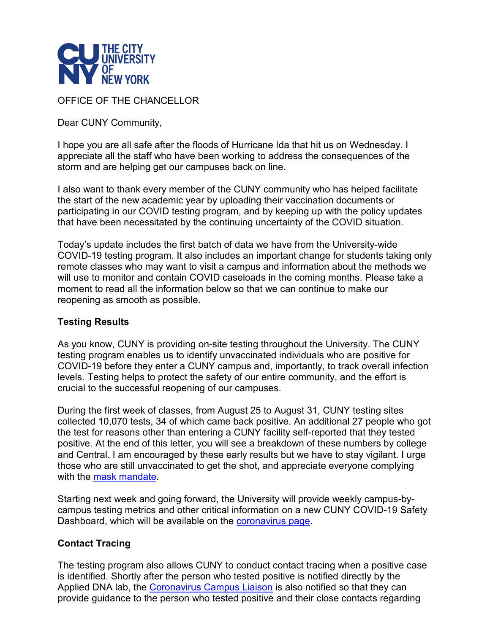

## OFFICE OF THE CHANCELLOR

Dear CUNY Community,

I hope you are all safe after the floods of Hurricane Ida that hit us on Wednesday. I appreciate all the staff who have been working to address the consequences of the storm and are helping get our campuses back on line.

I also want to thank every member of the CUNY community who has helped facilitate the start of the new academic year by uploading their vaccination documents or participating in our COVID testing program, and by keeping up with the policy updates that have been necessitated by the continuing uncertainty of the COVID situation.

Today's update includes the first batch of data we have from the University-wide COVID-19 testing program. It also includes an important change for students taking only remote classes who may want to visit a campus and information about the methods we will use to monitor and contain COVID caseloads in the coming months. Please take a moment to read all the information below so that we can continue to make our reopening as smooth as possible.

#### **Testing Results**

As you know, CUNY is providing on-site testing throughout the University. The CUNY testing program enables us to identify unvaccinated individuals who are positive for COVID-19 before they enter a CUNY campus and, importantly, to track overall infection levels. Testing helps to protect the safety of our entire community, and the effort is crucial to the successful reopening of our campuses.

During the first week of classes, from August 25 to August 31, CUNY testing sites collected 10,070 tests, 34 of which came back positive. An additional 27 people who got the test for reasons other than entering a CUNY facility self-reported that they tested positive. At the end of this letter, you will see a breakdown of these numbers by college and Central. I am encouraged by these early results but we have to stay vigilant. I urge those who are still unvaccinated to get the shot, and appreciate everyone complying with the [mask mandate.](https://maestro.cuny.edu/trk/click?ref=zqtbwp23f_2-1uc942a-0-2241x3878ex0VKLEwZbefo&)

Starting next week and going forward, the University will provide weekly campus-bycampus testing metrics and other critical information on a new CUNY COVID-19 Safety Dashboard, which will be available on the [coronavirus page.](https://maestro.cuny.edu/trk/click?ref=zqtbwp23f_2-1uc942a-0-2241x3745ax0VKLEwZbefo&)

#### **Contact Tracing**

The testing program also allows CUNY to conduct contact tracing when a positive case is identified. Shortly after the person who tested positive is notified directly by the Applied DNA lab, the [Coronavirus Campus Liaison](https://maestro.cuny.edu/trk/click?ref=zqtbwp23f_2-1uc942a-0-2241x3878fx0VKLEwZbefo&) is also notified so that they can provide guidance to the person who tested positive and their close contacts regarding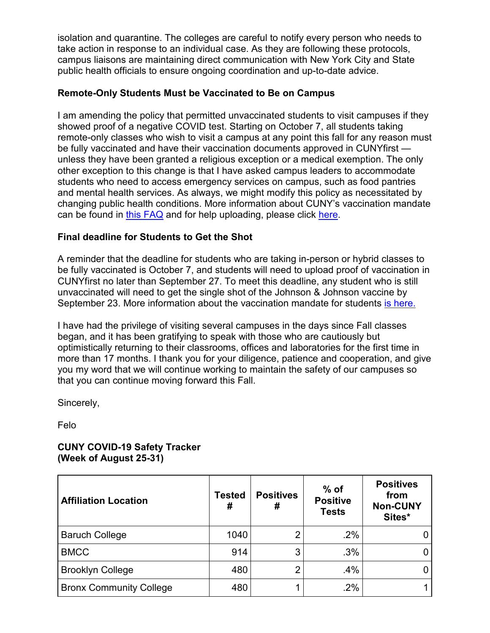isolation and quarantine. The colleges are careful to notify every person who needs to take action in response to an individual case. As they are following these protocols, campus liaisons are maintaining direct communication with New York City and State public health officials to ensure ongoing coordination and up-to-date advice.

## **Remote-Only Students Must be Vaccinated to Be on Campus**

I am amending the policy that permitted unvaccinated students to visit campuses if they showed proof of a negative COVID test. Starting on October 7, all students taking remote-only classes who wish to visit a campus at any point this fall for any reason must be fully vaccinated and have their vaccination documents approved in CUNYfirst unless they have been granted a religious exception or a medical exemption. The only other exception to this change is that I have asked campus leaders to accommodate students who need to access emergency services on campus, such as food pantries and mental health services. As always, we might modify this policy as necessitated by changing public health conditions. More information about CUNY's vaccination mandate can be found in [this FAQ](https://maestro.cuny.edu/trk/click?ref=zqtbwp23f_2-1uc942a-0-2241x38736x0VKLEwZbefo&) and for help uploading, please click [here.](https://maestro.cuny.edu/trk/click?ref=zqtbwp23f_2-1uc942a-0-2241x3872fx0VKLEwZbefo&)

# **Final deadline for Students to Get the Shot**

A reminder that the deadline for students who are taking in-person or hybrid classes to be fully vaccinated is October 7, and students will need to upload proof of vaccination in CUNYfirst no later than September 27. To meet this deadline, any student who is still unvaccinated will need to get the single shot of the Johnson & Johnson vaccine by September 23. More information about the vaccination mandate for students [is here.](https://maestro.cuny.edu/trk/click?ref=zqtbwp23f_2-1uc942a-0-2241x38790x0VKLEwZbefo&)

I have had the privilege of visiting several campuses in the days since Fall classes began, and it has been gratifying to speak with those who are cautiously but optimistically returning to their classrooms, offices and laboratories for the first time in more than 17 months. I thank you for your diligence, patience and cooperation, and give you my word that we will continue working to maintain the safety of our campuses so that you can continue moving forward this Fall.

Sincerely,

Felo

### **CUNY COVID-19 Safety Tracker (Week of August 25-31)**

| <b>Affiliation Location</b>    | Tested<br># | <b>Positives</b><br># | $%$ of<br><b>Positive</b><br><b>Tests</b> | <b>Positives</b><br>from<br><b>Non-CUNY</b><br>Sites* |
|--------------------------------|-------------|-----------------------|-------------------------------------------|-------------------------------------------------------|
| <b>Baruch College</b>          | 1040        | 2                     | .2%                                       |                                                       |
| <b>BMCC</b>                    | 914         | 3                     | .3%                                       |                                                       |
| <b>Brooklyn College</b>        | 480         | 2                     | .4%                                       |                                                       |
| <b>Bronx Community College</b> | 480         |                       | .2%                                       |                                                       |